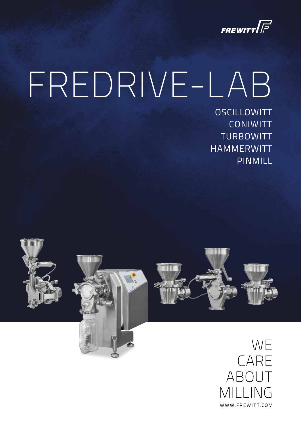

# FREDRIVE-LAB

**OSCILLOWITT CONIWITT** TURBOWITT HAMMERWITT PINMILL



CARE ABOUT MII I ING WWW.FREWITT.COM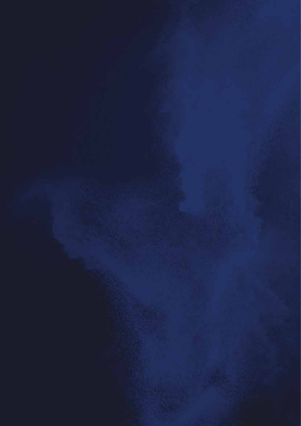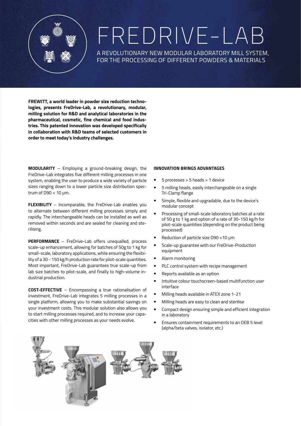

### FREDRIVE-LAB

A REVOLUTIONARY NEW MODULAR LABORATORY MILL SYSTEM, FOR THE PROCESSING OF DIFFERENT POWDERS & MATERIALS

**FREWITT, a world leader in powder size reduction technologies, presents FreDrive-Lab, a revolutionary, modular, milling solution for R&D and analytical laboratories in the pharmaceutical, cosmetic, fine chemical and food industries. This patented innovation was developed specifically in collaboration with R&D teams of selected customers in order to meet today's industry challenges.**

**MODULARITY** – Employing a ground-breaking design, the FreDrive-Lab integrates five different milling processes in one system, enabling the user to produce a wide variety of particle sizes ranging down to a lower particle size distribution spectrum of D90 < 10 μm.

**FLEXIBILITY** – Incomparable, the FreDrive-Lab enables you to alternate between different milling processes simply and rapidly. The interchangeable heads can be installed as well as removed within seconds and are sealed for cleaning and sterilising.

**PERFORMANCE** – FreDrive-Lab offers unequalled, process scale-up enhancement, allowing for batches of 50g to 1 kg for small-scale, laboratory applications, while ensuring the flexibility of a 30 - 150 kg/h production rate for pilot-scale quantities. Most important, FreDrive-Lab guarantees true scale-up from lab size batches to pilot-scale, and finally to high-volume industrial production.

**COST-EFFECTIVE** – Encompassing a true rationalisation of investment, FreDrive-Lab integrates 5 milling processes in a single platform, allowing you to make substantial savings on your investment costs. This modular solution also allows you to start milling processes required, and to increase your capacities with other milling processes as your needs evolve.

### **INNOVATION BRINGS ADVANTAGES**

- 5 processes > 5 heads > 1 device
- 5 milling heads, easily interchangeable on a single Tri-Clamp flange
- Simple, flexible and upgradable, due to the device's modular concept
- Processing of small-scale laboratory batches at a rate of 50 g to 1 kg and option of a rate of 30-150 kg/h for pilot-scale quantities (depending on the product being processed)
- Reduction of particle size D90 <10 μm
- Scale-up guarantee with our FreDrive-Production equipment
- Alarm monitoring
- PLC control system with recipe management
- Reports available as an option
- Intuitive colour touchscreen-based multifunction user interface
- Milling heads available in ATEX zone 1-21
- Milling heads are easy to clean and sterilise
- Compact design ensuring simple and efficient integration in a laboratory
- Ensures containment requirements to an OEB 5 level (alpha/beta valves, isolator, etc.)

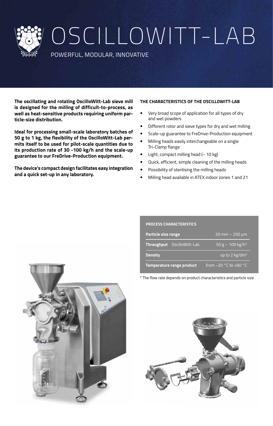

# OSCILLOWITT-LAB

POWERFUL, MODULAR, INNOVATIVE

**The oscillating and rotating OscilloWitt-Lab sieve mill is designed for the milling of difficult-to-process, as well as heat-sensitive products requiring uniform particle-size distribution.** 

**Ideal for processing small-scale laboratory batches of 50 g to 1 kg, the flexibility of the OscilloWitt-Lab permits itself to be used for pilot-scale quantities due to its production rate of 30 -100 kg/h and the scale-up guarantee to our FreDrive-Production equipment.**

**The device's compact design facilitates easy integration and a quick set-up in any laboratory.** 

### **THE CHARACTERISTICS OF THE OSCILLOWITT-LAB**

- Very broad scope of application for all types of dry and wet powders
- Different rotor and sieve types for dry and wet milling
- Scale-up guarantee to FreDrive-Production equipment
- Milling heads easily interchangeable on a single Tri-Clamp flange
- Light, compact milling head ( $\sim$  10 kg)
- Quick, efficient, simple cleaning of the milling heads
- Possibility of sterilising the milling heads
- Milling head available in ATEX indoor zones 1 and 21

### **PROCESS CHARACTERISTICS**

| <b>Particle size range</b>       | $20$ mm $- 250$ µm        |
|----------------------------------|---------------------------|
| Throughput OscilloWitt-Lab       | $50 g - 100 kg/h*$        |
| <b>Density</b>                   | up to 2 $kg/dm3$          |
| <b>Temperature range product</b> | from $-20$ °C to $+60$ °C |



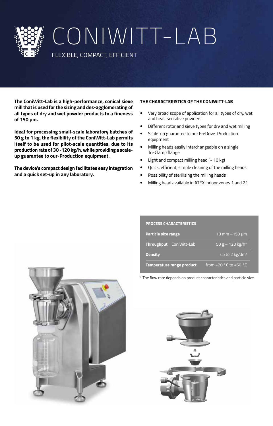

## CONIWITT-LAB

FLEXIBLE, COMPACT, EFFICIENT

**The ConiWitt-Lab is a high-performance, conical sieve mill that is used for the sizing and des-agglomerating of all types of dry and wet powder products to a fineness of 150 µm.**

**Ideal for processing small-scale laboratory batches of 50 g to 1 kg, the flexibility of the ConiWitt-Lab permits itself to be used for pilot-scale quantities, due to its production rate of 30 -120 kg/h, while providing a scaleup guarantee to our-Production equipment.**

**The device's compact design facilitates easy integration and a quick set-up in any laboratory.**

### **THE CHARACTERISTICS OF THE CONIWITT-LAB**

- Very broad scope of application for all types of dry, wet and heat-sensitive powders
- Different rotor and sieve types for dry and wet milling
- Scale-up guarantee to our FreDrive-Production equipment
- Milling heads easily interchangeable on a single Tri-Clamp flange
- Light and compact milling head  $(-10 \text{ kg})$
- Quick, efficient, simple cleaning of the milling heads
- Possibility of sterilising the milling heads
- Milling head available in ATEX indoor zones 1 and 21

### **PROCESS CHARACTERISTICS**

| Particle size range       | $10 \text{ mm} - 150 \text{ µm}$            |
|---------------------------|---------------------------------------------|
| Throughput ConiWitt-Lab   | $50 g - 120 kg/h*$                          |
| <b>Density</b>            | up to 2 kg/dm <sup>3</sup>                  |
| Temperature range product | from $-20$ $\degree$ C to $+60$ $\degree$ C |



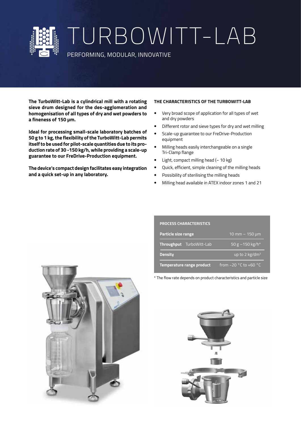

**The TurboWitt-Lab is a cylindrical mill with a rotating sieve drum designed for the des-agglomeration and homogenisation of all types of dry and wet powders to a fineness of 150 µm.**

**Ideal for processing small-scale laboratory batches of 50 g to 1 kg, the flexibility of the TurboWitt-Lab permits itself to be used for pilot-scale quantities due to its production rate of 30 -150 kg/h, while providing a scale-up guarantee to our FreDrive-Production equipment.**

**The device's compact design facilitates easy integration and a quick set-up in any laboratory.**

### **THE CHARACTERISTICS OF THE TURBOWITT-LAB**

- Very broad scope of application for all types of wet and dry powders
- Different rotor and sieve types for dry and wet milling
- Scale-up guarantee to our FreDrive-Production equipment
- Milling heads easily interchangeable on a single Tri-Clamp flange
- $\bullet$  Light, compact milling head ( $\sim$  10 kg)
- Quick, efficient, simple cleaning of the milling heads
- Possibility of sterilising the milling heads
- Milling head available in ATEX indoor zones 1 and 21

| <b>PROCESS CHARACTERISTICS</b> |                                  |
|--------------------------------|----------------------------------|
| <b>Particle size range</b>     | $10 \text{ mm} - 150 \text{ µm}$ |
| Throughput TurboWitt-Lab       | $50 g - 150 kg/h*$               |
| <b>Density</b>                 | up to 2 $kg/dm3$                 |
| Temperature range product      | from $-20$ °C to +60 °C          |



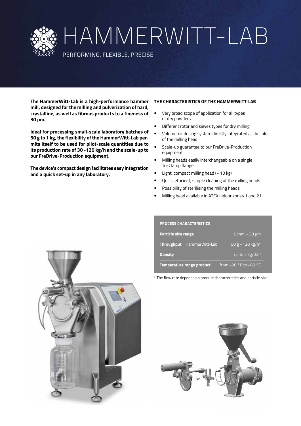

### HAMMERWITT-LAB

PERFORMING, FLEXIBLE, PRECISE

**The HammerWitt-Lab is a high-performance hammer mill, designed for the milling and pulverization of hard, crystalline, as well as fibrous products to a fineness of 30 µm.**

**Ideal for processing small-scale laboratory batches of 50 g to 1 kg, the flexibility of the HammerWitt-Lab permits itself to be used for pilot-scale quantities due to its production rate of 30 -120 kg/h and the scale-up to our FreDrive-Production equipment.**

**The device's compact design facilitates easy integration and a quick set-up in any laboratory.** 

### **THE CHARACTERISTICS OF THE HAMMERWITT-LAB**

- Very broad scope of application for all types of dry powders
- Different rotor and sieves types for dry milling
- Volumetric dosing system directly integrated at the inlet of the milling head
- Scale-up guarantee to our FreDrive-Production equipment
- Milling heads easily interchangeable on a single Tri-Clamp flange
- Light, compact milling head  $(-10 \text{ kg})$
- Quick, efficient, simple cleaning of the milling heads
- Possibility of sterilising the milling heads
- Milling head available in ATEX indoor zones 1 and 21



### **PROCESS CHARACTERISTICS**

| <b>Particle size range</b> | 10 mm $-$ 30 $\mu$ m          |
|----------------------------|-------------------------------|
| Throughput HammerWitt-Lab  | 50 g $-120$ kg/h <sup>*</sup> |
| <b>Density</b>             | up to 2 kg/dm <sup>3</sup>    |
| Temperature range product  | from $-20$ °C to $+60$ °C     |

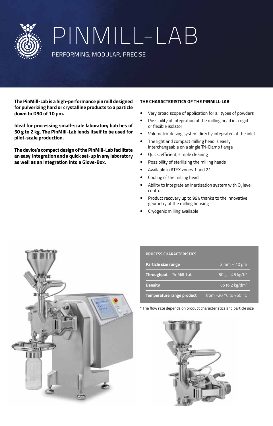

## PINMILL-LAB

PERFORMING, MODULAR, PRECISE

**The PinMill-Lab is a high-performance pin mill designed for pulverizing hard or crystalline products to a particle down to D90 of 10 µm.** 

**Ideal for processing small-scale laboratory batches of 50 g to 2 kg. The PinMill-Lab lends itself to be used for pilot-scale production.**

**The device's compact design of the PinMill-Lab facilitate an easy integration and a quick set-up in any laboratory as well as an integration into a Glove-Box.** 

### **THE CHARACTERISTICS OF THE PINMILL-LAB**

- Very broad scope of application for all types of powders
- Possibility of integration of the milling head in a rigid or flexible isolator
- Volumetric dosing system directly integrated at the inlet
- The light and compact milling head is easily interchangeable on a single Tri-Clamp flange
- Quick, efficient, simple cleaning
- Possibility of sterilising the milling heads
- Available in ATEX zones 1 and 21
- Cooling of the milling head
- Ability to integrate an inertisation system with  $O<sub>2</sub>$  level control
- Product recovery up to 99% thanks to the innovative geometry of the milling housing
- Cryogenic milling available



### **PROCESS CHARACTERISTICS**

| Particle size range              | $\frac{2}{12}$ mm $-$ 10 µm                 |
|----------------------------------|---------------------------------------------|
| Throughput PinMill-Lab           | $\frac{150 \text{ g} - 45 \text{ kg}}{h^*}$ |
| <b>Density</b>                   | up to 2 $kg/dm3$                            |
| <b>Temperature range product</b> | from $-20$ °C to $+60$ °C                   |

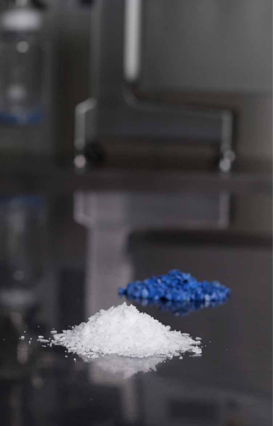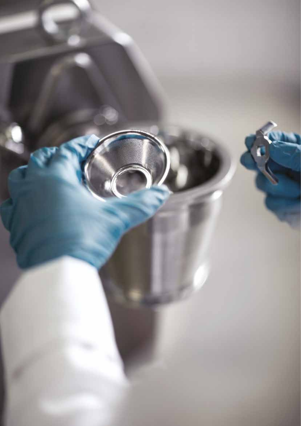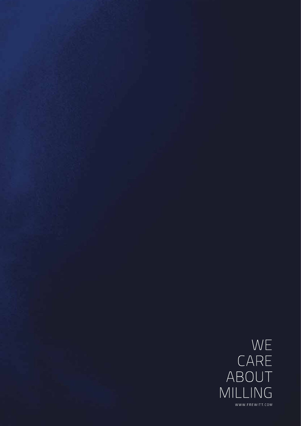